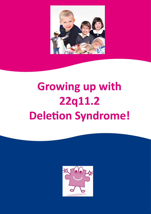

# **Growing up with 22q11.2 Deletion Syndrome!**

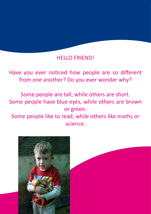#### HELLO FRIEND!

Have you ever noticed how people are so different from one another? Do you ever wonder why?

Some people are tall, while others are short. Some people have blue eyes, while others are brown or green.

Some people like to read, while others like maths or science.

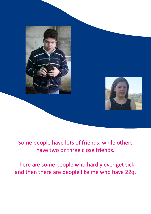

Some people have lots of friends, while others have two or three close friends.

There are some people who hardly ever get sick and then there are people like me who have 22q.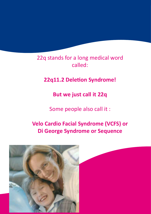22q stands for a long medical word called:

**22q11.2 Deletion Syndrome!**

**But we just call it 22q**

Some people also call it :

### **Velo Cardio Facial Syndrome (VCFS) or Di George Syndrome or Sequence**

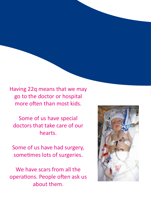Having 22q means that we may go to the doctor or hospital more often than most kids.

Some of us have special doctors that take care of our hearts.

Some of us have had surgery, sometimes lots of surgeries.

We have scars from all the operations. People often ask us about them.

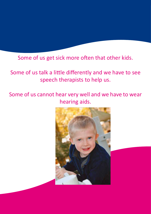Some of us get sick more often that other kids.

## Some of us talk a little differently and we have to see speech therapists to help us.

Some of us cannot hear very well and we have to wear hearing aids.

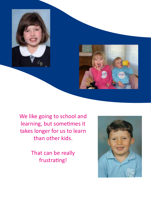

We like going to school and learning, but sometimes it takes longer for us to learn than other kids.

> That can be really frustrating!

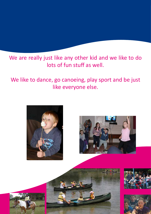We are really just like any other kid and we like to do lots of fun stuff as well.

We like to dance, go canoeing, play sport and be just like everyone else.

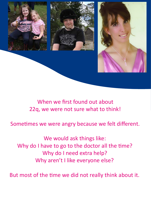

When we first found out about 22q, we were not sure what to think!

Sometimes we were angry because we felt different.

We would ask things like: Why do I have to go to the doctor all the time? Why do I need extra help? Why aren't I like everyone else?

But most of the time we did not really think about it.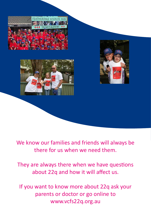





We know our families and friends will always be there for us when we need them.

They are always there when we have questions about 22q and how it will affect us.

If you want to know more about 22q ask your parents or doctor or go online to www.vcfs22q.org.au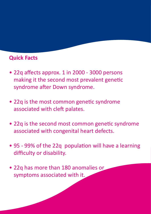#### **Quick Facts**

- 22q affects approx. 1 in 2000 3000 persons making it the second most prevalent genetic syndrome after Down syndrome.
- 22q is the most common genetic syndrome associated with cleft palates.
- 22q is the second most common genetic syndrome associated with congenital heart defects.
- 95 99% of the 22q population will have a learning difficulty or disability.
- 22q has more than 180 anomalies or symptoms associated with it.